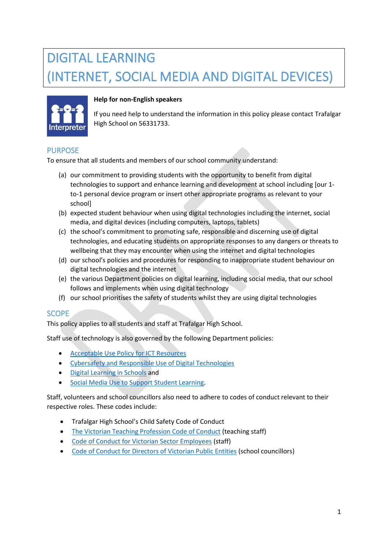# DIGITAL LEARNING (INTERNET, SOCIAL MEDIA AND DIGITAL DEVICES)



# **Help for non-English speakers**

If you need help to understand the information in this policy please contact Trafalgar High School on 56331733.

# PURPOSE

To ensure that all students and members of our school community understand:

- (a) our commitment to providing students with the opportunity to benefit from digital technologies to support and enhance learning and development at school including [our 1 to-1 personal device program or insert other appropriate programs as relevant to your school]
- (b) expected student behaviour when using digital technologies including the internet, social media, and digital devices (including computers, laptops, tablets)
- (c) the school's commitment to promoting safe, responsible and discerning use of digital technologies, and educating students on appropriate responses to any dangers or threats to wellbeing that they may encounter when using the internet and digital technologies
- (d) our school's policies and procedures for responding to inappropriate student behaviour on digital technologies and the internet
- (e) the various Department policies on digital learning, including social media, that our school follows and implements when using digital technology
- (f) our school prioritises the safety of students whilst they are using digital technologies

# **SCOPE**

This policy applies to all students and staff at Trafalgar High School.

Staff use of technology is also governed by the following Department policies:

- [Acceptable Use Policy](https://www2.education.vic.gov.au/pal/ict-acceptable-use/overview) for ICT Resources
- [Cybersafety and Responsible Use of Digital Technologies](https://www2.education.vic.gov.au/pal/cybersafety/policy)
- [Digital Learning in Schools](https://www2.education.vic.gov.au/pal/digital-learning/policy) and
- [Social Media Use to Support Student Learning.](https://www2.education.vic.gov.au/pal/social-media/policy)

Staff, volunteers and school councillors also need to adhere to codes of conduct relevant to their respective roles. These codes include:

- Trafalgar High School's Child Safety Code of Conduct
- [The Victorian Teaching Profession Code of Conduct](https://www.vit.vic.edu.au/__data/assets/pdf_file/0018/35604/Code-of-Conduct-2016.pdf) (teaching staff)
- [Code of Conduct for Victorian Sector Employees](https://www2.education.vic.gov.au/pal/code-conduct/overview) (staff)
- [Code of Conduct for Directors of Victorian Public Entities](https://www2.education.vic.gov.au/pal/school-council-conduct/policy) (school councillors)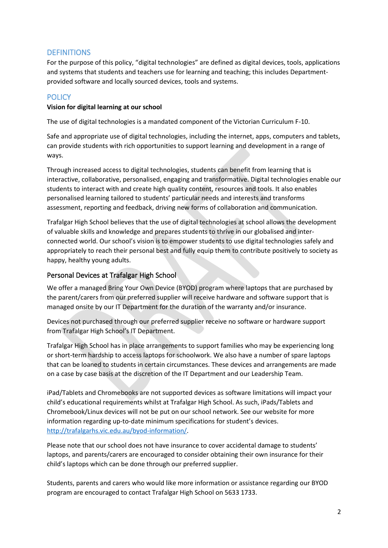# **DEFINITIONS**

For the purpose of this policy, "digital technologies" are defined as digital devices, tools, applications and systems that students and teachers use for learning and teaching; this includes Departmentprovided software and locally sourced devices, tools and systems.

# **POLICY**

#### **Vision for digital learning at our school**

The use of digital technologies is a mandated component of the Victorian Curriculum F-10.

Safe and appropriate use of digital technologies, including the internet, apps, computers and tablets, can provide students with rich opportunities to support learning and development in a range of ways.

Through increased access to digital technologies, students can benefit from learning that is interactive, collaborative, personalised, engaging and transformative. Digital technologies enable our students to interact with and create high quality content, resources and tools. It also enables personalised learning tailored to students' particular needs and interests and transforms assessment, reporting and feedback, driving new forms of collaboration and communication.

Trafalgar High School believes that the use of digital technologies at school allows the development of valuable skills and knowledge and prepares students to thrive in our globalised and interconnected world. Our school's vision is to empower students to use digital technologies safely and appropriately to reach their personal best and fully equip them to contribute positively to society as happy, healthy young adults.

#### Personal Devices at Trafalgar High School

We offer a managed Bring Your Own Device (BYOD) program where laptops that are purchased by the parent/carers from our preferred supplier will receive hardware and software support that is managed onsite by our IT Department for the duration of the warranty and/or insurance.

Devices not purchased through our preferred supplier receive no software or hardware support from Trafalgar High School's IT Department.

Trafalgar High School has in place arrangements to support families who may be experiencing long or short-term hardship to access laptops for schoolwork. We also have a number of spare laptops that can be loaned to students in certain circumstances. These devices and arrangements are made on a case by case basis at the discretion of the IT Department and our Leadership Team.

iPad/Tablets and Chromebooks are not supported devices as software limitations will impact your child's educational requirements whilst at Trafalgar High School. As such, iPads/Tablets and Chromebook/Linux devices will not be put on our school network. See our website for more information regarding up-to-date minimum specifications for student's devices. [http://trafalgarhs.vic.edu.au/byod-information/.](http://trafalgarhs.vic.edu.au/byod-information/)

Please note that our school does not have insurance to cover accidental damage to students' laptops, and parents/carers are encouraged to consider obtaining their own insurance for their child's laptops which can be done through our preferred supplier.

Students, parents and carers who would like more information or assistance regarding our BYOD program are encouraged to contact Trafalgar High School on 5633 1733.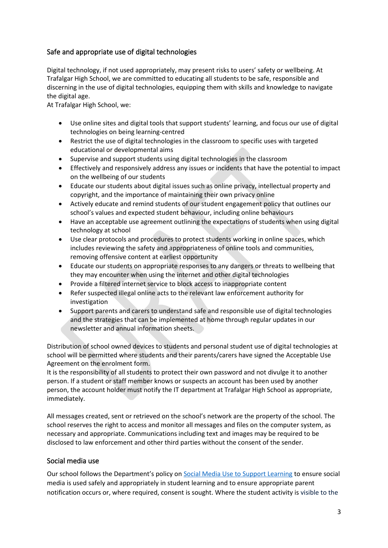# Safe and appropriate use of digital technologies

Digital technology, if not used appropriately, may present risks to users' safety or wellbeing. At Trafalgar High School, we are committed to educating all students to be safe, responsible and discerning in the use of digital technologies, equipping them with skills and knowledge to navigate the digital age.

At Trafalgar High School, we:

- Use online sites and digital tools that support students' learning, and focus our use of digital technologies on being learning-centred
- Restrict the use of digital technologies in the classroom to specific uses with targeted educational or developmental aims
- Supervise and support students using digital technologies in the classroom
- Effectively and responsively address any issues or incidents that have the potential to impact on the wellbeing of our students
- Educate our students about digital issues such as online privacy, intellectual property and copyright, and the importance of maintaining their own privacy online
- Actively educate and remind students of our student engagement policy that outlines our school's values and expected student behaviour, including online behaviours
- Have an acceptable use agreement outlining the expectations of students when using digital technology at school
- Use clear protocols and procedures to protect students working in online spaces, which includes reviewing the safety and appropriateness of online tools and communities, removing offensive content at earliest opportunity
- Educate our students on appropriate responses to any dangers or threats to wellbeing that they may encounter when using the internet and other digital technologies
- Provide a filtered internet service to block access to inappropriate content
- Refer suspected illegal online acts to the relevant law enforcement authority for investigation
- Support parents and carers to understand safe and responsible use of digital technologies and the strategies that can be implemented at home through regular updates in our newsletter and annual information sheets.

Distribution of school owned devices to students and personal student use of digital technologies at school will be permitted where students and their parents/carers have signed the Acceptable Use Agreement on the enrolment form.

It is the responsibility of all students to protect their own password and not divulge it to another person. If a student or staff member knows or suspects an account has been used by another person, the account holder must notify the IT department at Trafalgar High School as appropriate, immediately.

All messages created, sent or retrieved on the school's network are the property of the school. The school reserves the right to access and monitor all messages and files on the computer system, as necessary and appropriate. Communications including text and images may be required to be disclosed to law enforcement and other third parties without the consent of the sender.

# Social media use

Our school follows the Department's policy on [Social Media Use to Support Learning](https://www2.education.vic.gov.au/pal/social-media/policy) to ensure social media is used safely and appropriately in student learning and to ensure appropriate parent notification occurs or, where required, consent is sought. Where the student activity is visible to the